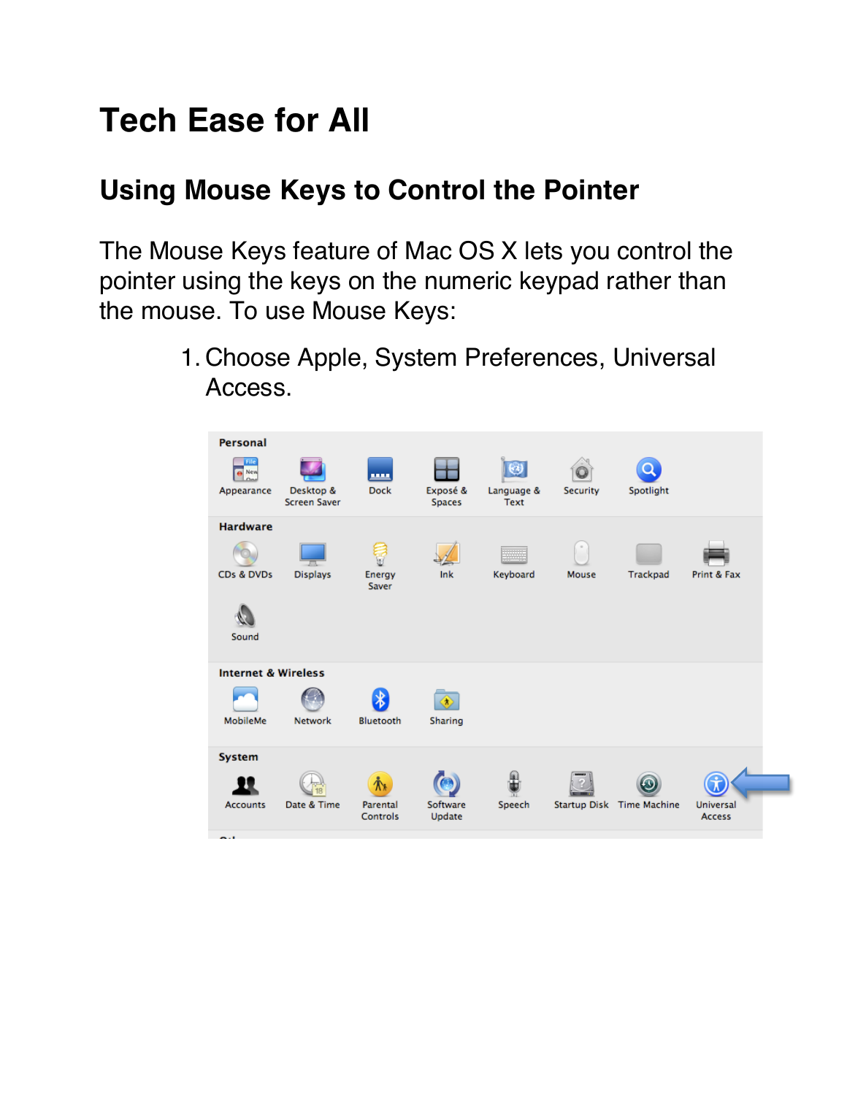## **Tech Ease for All**

## **Using Mouse Keys to Control the Pointer**

The Mouse Keys feature of Mac OS X lets you control the pointer using the keys on the numeric keypad rather than the mouse. To use Mouse Keys:

> 1. Choose Apple, System Preferences, Universal Access.

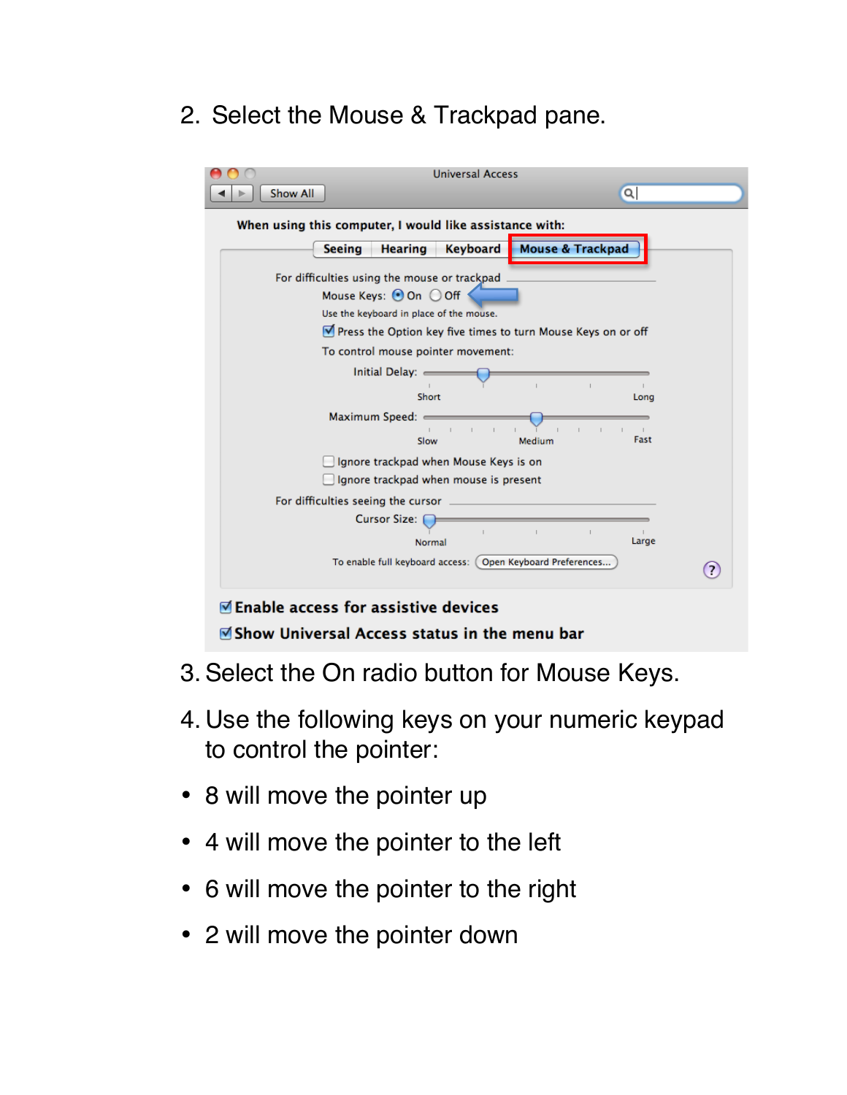2. Select the Mouse & Trackpad pane.

| When using this computer, I would like assistance with:                        |                        |                                                              |                    |  |
|--------------------------------------------------------------------------------|------------------------|--------------------------------------------------------------|--------------------|--|
| <b>Hearing</b><br><b>Seeing</b>                                                | Keyboard               | <b>Mouse &amp; Trackpad</b>                                  |                    |  |
| For difficulties using the mouse or trackpad                                   |                        |                                                              |                    |  |
| Mouse Keys: ⊙On ○Off <                                                         |                        |                                                              |                    |  |
| Use the keyboard in place of the mouse.                                        |                        |                                                              |                    |  |
|                                                                                |                        | Press the Option key five times to turn Mouse Keys on or off |                    |  |
| To control mouse pointer movement:                                             |                        |                                                              |                    |  |
| Initial Delay: =                                                               |                        |                                                              |                    |  |
|                                                                                | Short                  |                                                              | Long               |  |
| Maximum Speed: =                                                               |                        |                                                              |                    |  |
|                                                                                | $\overline{1}$<br>Slow | Medium                                                       | $\sim$ 1.1<br>Fast |  |
|                                                                                |                        |                                                              |                    |  |
| Ignore trackpad when Mouse Keys is on<br>Ignore trackpad when mouse is present |                        |                                                              |                    |  |
|                                                                                |                        |                                                              |                    |  |
| For difficulties seeing the cursor _<br><b>Cursor Size: 1</b>                  |                        |                                                              |                    |  |
|                                                                                |                        | $\mathbb{L}$                                                 |                    |  |
|                                                                                | Normal                 |                                                              | Large              |  |
|                                                                                |                        | To enable full keyboard access: (Open Keyboard Preferences   |                    |  |

- 3.Select the On radio button for Mouse Keys.
- 4. Use the following keys on your numeric keypad to control the pointer:
- 8 will move the pointer up
- 4 will move the pointer to the left
- 6 will move the pointer to the right
- 2 will move the pointer down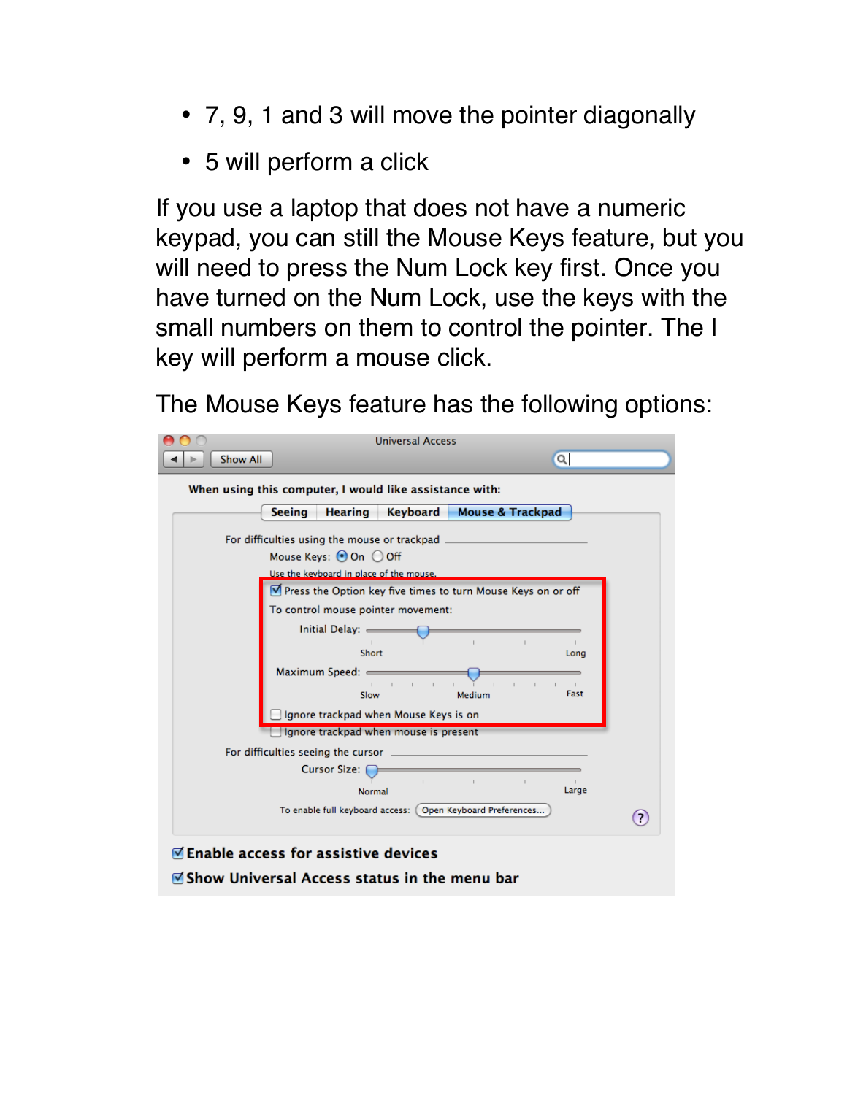- 7, 9, 1 and 3 will move the pointer diagonally
- 5 will perform a click

If you use a laptop that does not have a numeric keypad, you can still the Mouse Keys feature, but you will need to press the Num Lock key first. Once you have turned on the Num Lock, use the keys with the small numbers on them to control the pointer. The I key will perform a mouse click.

The Mouse Keys feature has the following options: